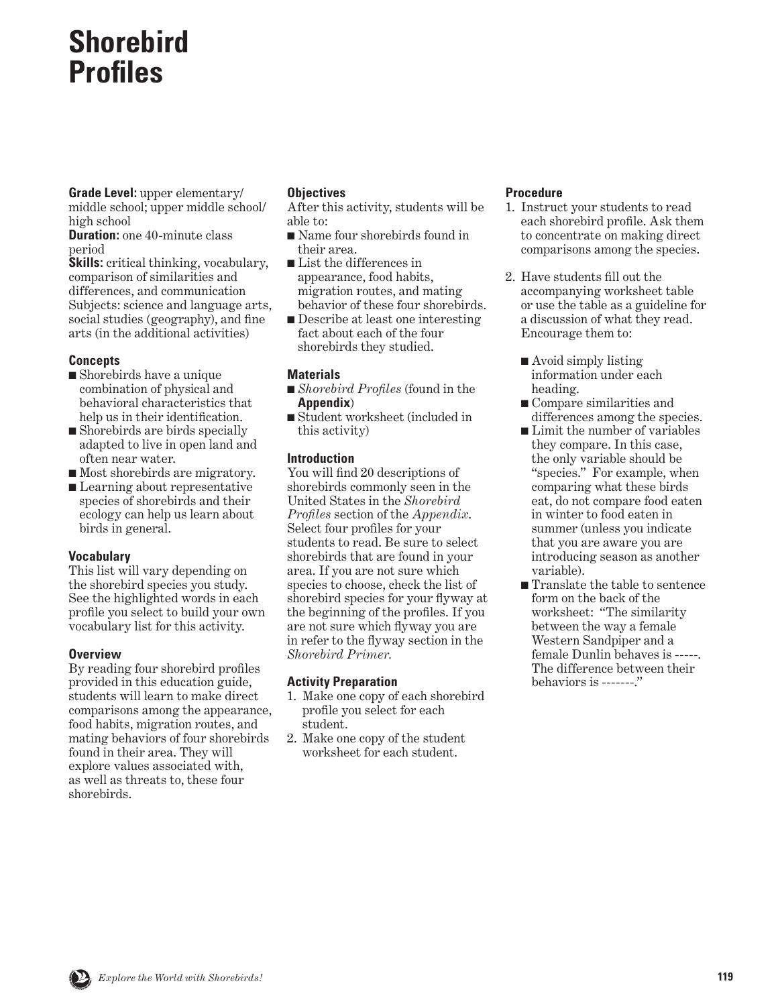# **Shorebird Profiles**

**Grade Level:** upper elementary/ middle school; upper middle school/ high school

**Duration:** one 40-minute class period

**Skills:** critical thinking, vocabulary, comparison of similarities and differences, and communication Subjects: science and language arts, social studies (geography), and fine arts (in the additional activities)

## **Concepts**

- Shorebirds have a unique combination of physical and behavioral characteristics that help us in their identification.
- Shorebirds are birds specially adapted to live in open land and often near water.
- Most shorebirds are migratory.
- Learning about representative species of shorebirds and their ecology can help us learn about birds in general.

## **Vocabulary**

This list will vary depending on the shorebird species you study. See the highlighted words in each profile you select to build your own vocabulary list for this activity.

## **Overview**

By reading four shorebird profiles provided in this education guide, students will learn to make direct comparisons among the appearance, food habits, migration routes, and mating behaviors of four shorebirds found in their area. They will explore values associated with, as well as threats to, these four shorebirds.

## **Objectives**

After this activity, students will be able to:

- Name four shorebirds found in their area.
- List the differences in appearance, food habits, migration routes, and mating behavior of these four shorebirds.
- Describe at least one interesting fact about each of the four shorebirds they studied.

## **Materials**

- *Shorebird Profiles* (found in the **Appendix**)
- Student worksheet (included in this activity)

## **Introduction**

You will find 20 descriptions of shorebirds commonly seen in the United States in the *Shorebird Profiles* section of the *Appendix*. Select four profiles for your students to read. Be sure to select shorebirds that are found in your area. If you are not sure which species to choose, check the list of shorebird species for your flyway at the beginning of the profiles. If you are not sure which flyway you are in refer to the flyway section in the *Shorebird Primer.*

## **Activity Preparation**

- 1. Make one copy of each shorebird profile you select for each student.
- 2. Make one copy of the student worksheet for each student.

#### **Procedure**

- 1. Instruct your students to read each shorebird profile. Ask them to concentrate on making direct comparisons among the species.
- 2. Have students fill out the accompanying worksheet table or use the table as a guideline for a discussion of what they read. Encourage them to:
	- Avoid simply listing information under each heading.
	- Compare similarities and differences among the species.
	- Limit the number of variables they compare. In this case, the only variable should be "species." For example, when comparing what these birds eat, do not compare food eaten in winter to food eaten in summer (unless you indicate that you are aware you are introducing season as another variable).
	- Translate the table to sentence form on the back of the worksheet: "The similarity between the way a female Western Sandpiper and a female Dunlin behaves is -----. The difference between their behaviors is -------."

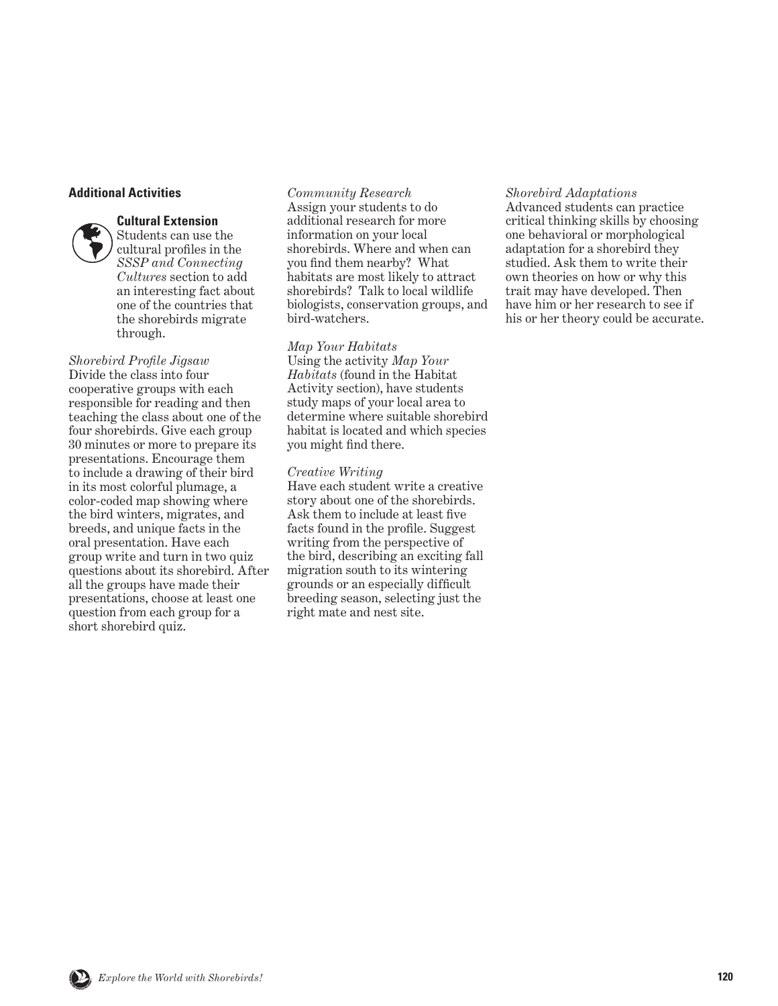#### **Additional Activities**

#### **Cultural Extension**



*Shorebird Profile Jigsaw*  Divide the class into four cooperative groups with each responsible for reading and then teaching the class about one of the four shorebirds. Give each group 30 minutes or more to prepare its presentations. Encourage them to include a drawing of their bird in its most colorful plumage, a color-coded map showing where the bird winters, migrates, and breeds, and unique facts in the oral presentation. Have each group write and turn in two quiz questions about its shorebird. After all the groups have made their presentations, choose at least one question from each group for a short shorebird quiz.

*Community Research*  Assign your students to do additional research for more information on your local shorebirds. Where and when can you find them nearby? What habitats are most likely to attract shorebirds? Talk to local wildlife biologists, conservation groups, and bird-watchers.

#### *Map Your Habitats*

Using the activity *Map Your Habitats* (found in the Habitat Activity section), have students study maps of your local area to determine where suitable shorebird habitat is located and which species you might find there.

#### *Creative Writing*

Have each student write a creative story about one of the shorebirds. Ask them to include at least five facts found in the profile. Suggest writing from the perspective of the bird, describing an exciting fall migration south to its wintering grounds or an especially difficult breeding season, selecting just the right mate and nest site.

#### *Shorebird Adaptations*

Advanced students can practice critical thinking skills by choosing one behavioral or morphological adaptation for a shorebird they studied. Ask them to write their own theories on how or why this trait may have developed. Then have him or her research to see if his or her theory could be accurate.